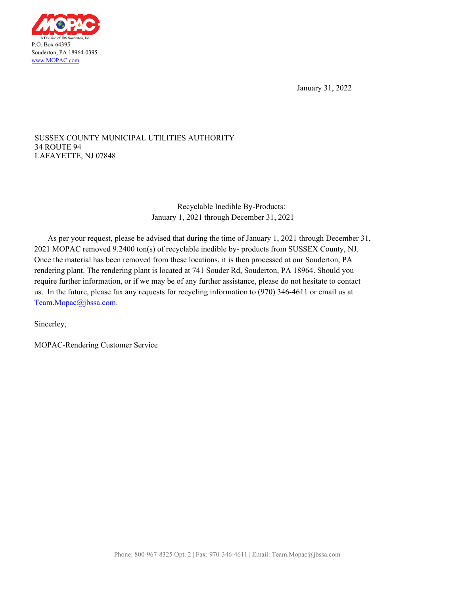

January 31, 2022

## LAFAYETTE, NJ 07848 34 ROUTE 94 SUSSEX COUNTY MUNICIPAL UTILITIES AUTHORITY

Recyclable Inedible By-Products: January 1, 2021 through December 31, 2021

As per your request, please be advised that during the time of January 1, 2021 through December 31, 2021 MOPAC removed 9.2400 ton(s) of recyclable inedible by- products from SUSSEX County, NJ. Once the material has been removed from these locations, it is then processed at our Souderton, PA rendering plant. The rendering plant is located at 741 Souder Rd, Souderton, PA 18964. Should you require further information, or if we may be of any further assistance, please do not hesitate to contact us. In the future, please fax any requests for recycling information to (970) 346-4611 or email us at Team.Mopac@jbssa.com.

Sincerley,

MOPAC-Rendering Customer Service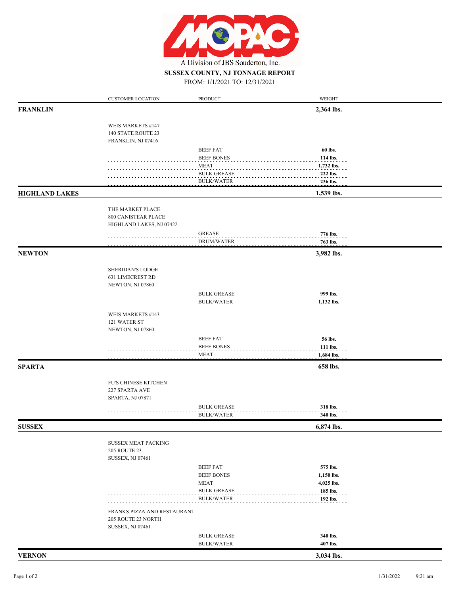

## FROM: 1/1/2021 TO: 12/31/2021 **SUSSEX COUNTY, NJ TONNAGE REPORT**

|                       | <b>CUSTOMER LOCATION</b>                          | PRODUCT                          | WEIGHT                 |  |
|-----------------------|---------------------------------------------------|----------------------------------|------------------------|--|
| <b>FRANKLIN</b>       |                                                   |                                  | 2,364 lbs.             |  |
|                       | WEIS MARKETS #147                                 |                                  |                        |  |
|                       | 140 STATE ROUTE 23                                |                                  |                        |  |
|                       | FRANKLIN, NJ 07416                                |                                  |                        |  |
|                       |                                                   | <b>BEEF FAT</b>                  | 60 lbs.                |  |
|                       |                                                   | <b>BEEF BONES</b>                | 114 lbs.               |  |
|                       |                                                   | <b>MEAT</b>                      | 1,732 lbs.             |  |
|                       |                                                   | <b>BULK GREASE</b>               | 222 lbs.               |  |
|                       |                                                   | <b>BULK/WATER</b>                | 236 lbs.               |  |
| <b>HIGHLAND LAKES</b> |                                                   |                                  | 1,539 lbs.             |  |
|                       | THE MARKET PLACE                                  |                                  |                        |  |
|                       | 800 CANISTEAR PLACE                               |                                  |                        |  |
|                       | HIGHLAND LAKES, NJ 07422                          |                                  |                        |  |
|                       |                                                   | <b>GREASE</b>                    | 776 lbs.               |  |
|                       |                                                   | <b>DRUM/WATER</b>                | 763 lbs.               |  |
| <b>NEWTON</b>         |                                                   |                                  | 3,982 lbs.             |  |
|                       |                                                   |                                  |                        |  |
|                       | SHERIDAN'S LODGE                                  |                                  |                        |  |
|                       | <b>631 LIMECREST RD</b>                           |                                  |                        |  |
|                       | NEWTON, NJ 07860                                  |                                  |                        |  |
|                       |                                                   | <b>BULK GREASE</b>               | 999 lbs.               |  |
|                       |                                                   | <b>BULK/WATER</b>                | 1,132 lbs.             |  |
|                       | WEIS MARKETS #143                                 |                                  |                        |  |
|                       | 121 WATER ST                                      |                                  |                        |  |
|                       | NEWTON, NJ 07860                                  |                                  |                        |  |
|                       |                                                   | <b>BEEF FAT</b>                  | 56 lbs.                |  |
|                       |                                                   | <b>BEEF BONES</b><br><b>MEAT</b> | 111 lbs.<br>1,684 lbs. |  |
|                       |                                                   |                                  |                        |  |
| <b>SPARTA</b>         |                                                   |                                  | 658 lbs.               |  |
|                       | FU'S CHINESE KITCHEN                              |                                  |                        |  |
|                       | 227 SPARTA AVE                                    |                                  |                        |  |
|                       | SPARTA, NJ 07871                                  |                                  |                        |  |
|                       |                                                   | <b>BULK GREASE</b>               | 318 lbs.               |  |
|                       |                                                   | <b>BULK/WATER</b>                | 340 lbs.               |  |
| <b>SUSSEX</b>         |                                                   |                                  | 6,874 lbs.             |  |
|                       |                                                   |                                  |                        |  |
|                       | <b>SUSSEX MEAT PACKING</b><br><b>205 ROUTE 23</b> |                                  |                        |  |
|                       | SUSSEX, NJ 07461                                  |                                  |                        |  |
|                       |                                                   | <b>BEEF FAT</b>                  | 575 lbs.               |  |
|                       |                                                   | <b>BEEF BONES</b>                | 1,150 lbs.             |  |
|                       |                                                   | <b>MEAT</b>                      | 4,025 lbs.             |  |
|                       |                                                   | <b>BULK GREASE</b>               | 185 lbs.               |  |
|                       |                                                   | <b>BULK/WATER</b>                | 192 lbs.               |  |
|                       | FRANKS PIZZA AND RESTAURANT                       |                                  |                        |  |
|                       | 205 ROUTE 23 NORTH                                |                                  |                        |  |
|                       | SUSSEX, NJ 07461                                  |                                  |                        |  |
|                       |                                                   | <b>BULK GREASE</b>               | 340 lbs.               |  |
|                       |                                                   | <b>BULK/WATER</b>                | 407 lbs.               |  |
| <b>VERNON</b>         |                                                   |                                  | 3,034 lbs.             |  |